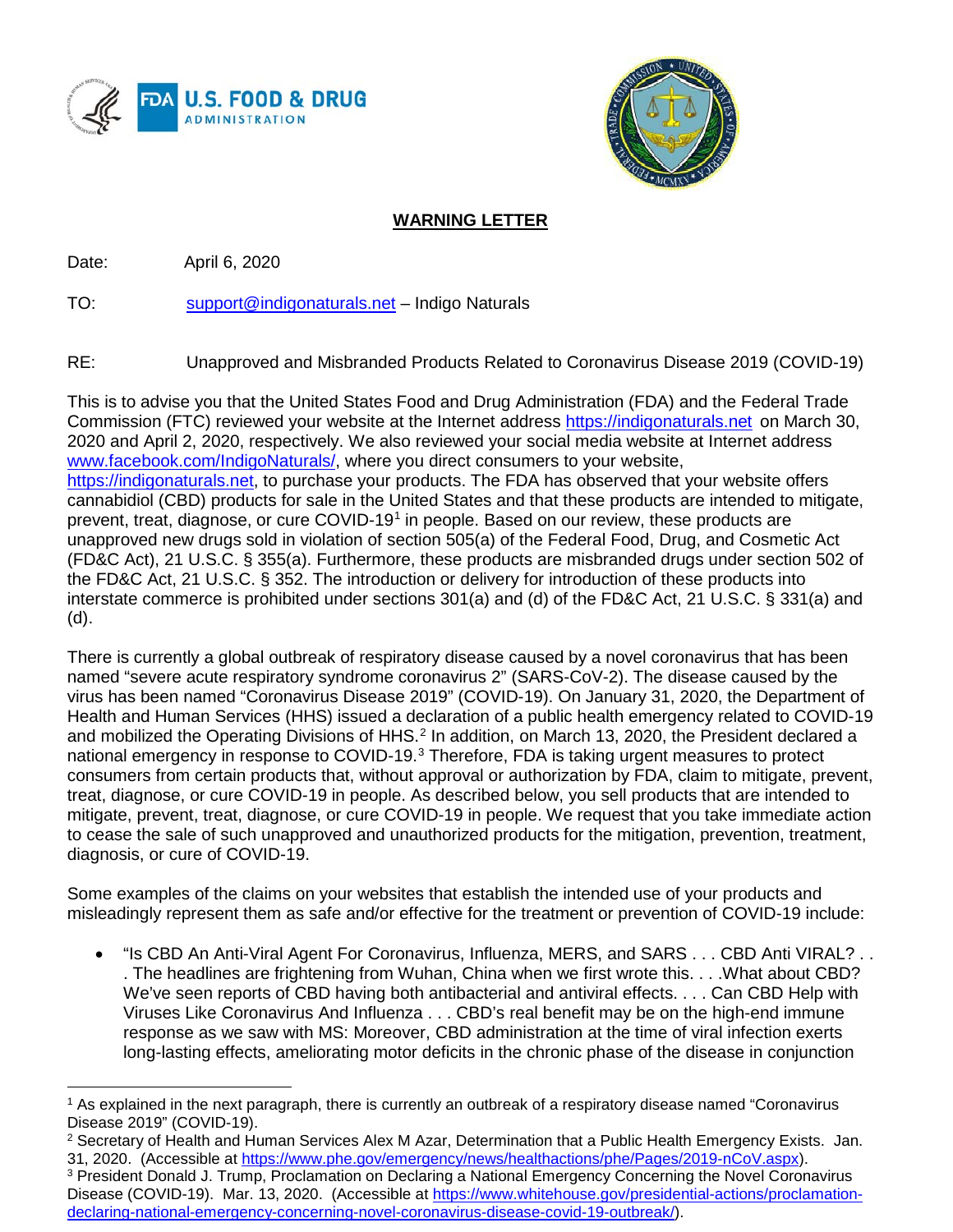



## **WARNING LETTER**

Date: April 6, 2020

 $\overline{a}$ 

TO: [support@indigonaturals.net](mailto:support@indigonaturals.net) – Indigo Naturals

RE: Unapproved and Misbranded Products Related to Coronavirus Disease 2019 (COVID-19)

This is to advise you that the United States Food and Drug Administration (FDA) and the Federal Trade Commission (FTC) reviewed your website at the Internet address [https://indigonaturals.net](https://indigonaturals.net/) on March 30, 2020 and April 2, 2020, respectively. We also reviewed your social media website at Internet address [www.facebook.com/IndigoNaturals/,](http://www.facebook.com/IndigoNaturals/) where you direct consumers to your website, [https://indigonaturals.net,](https://indigonaturals.net/) to purchase your products. The FDA has observed that your website offers cannabidiol (CBD) products for sale in the United States and that these products are intended to mitigate, prevent, treat, diagnose, or cure COVID-19<sup>1</sup> in people. Based on our review, these products are unapproved new drugs sold in violation of section 505(a) of the Federal Food, Drug, and Cosmetic Act (FD&C Act), 21 U.S.C. § 355(a). Furthermore, these products are misbranded drugs under section 502 of the FD&C Act, 21 U.S.C. § 352. The introduction or delivery for introduction of these products into interstate commerce is prohibited under sections 301(a) and (d) of the FD&C Act, 21 U.S.C. § 331(a) and (d).

There is currently a global outbreak of respiratory disease caused by a novel coronavirus that has been named "severe acute respiratory syndrome coronavirus 2" (SARS-CoV-2). The disease caused by the virus has been named "Coronavirus Disease 2019" (COVID-19). On January 31, 2020, the Department of Health and Human Services (HHS) issued a declaration of a public health emergency related to COVID-19 and mobilized the Operating Divisions of HHS.<sup>[2](#page-0-1)</sup> In addition, on March 13, 2020, the President declared a national emergency in response to COVID-19.[3](#page-0-2) Therefore, FDA is taking urgent measures to protect consumers from certain products that, without approval or authorization by FDA, claim to mitigate, prevent, treat, diagnose, or cure COVID-19 in people. As described below, you sell products that are intended to mitigate, prevent, treat, diagnose, or cure COVID-19 in people. We request that you take immediate action to cease the sale of such unapproved and unauthorized products for the mitigation, prevention, treatment, diagnosis, or cure of COVID-19.

Some examples of the claims on your websites that establish the intended use of your products and misleadingly represent them as safe and/or effective for the treatment or prevention of COVID-19 include:

• "Is CBD An Anti-Viral Agent For Coronavirus, Influenza, MERS, and SARS . . . CBD Anti VIRAL? . . . The headlines are frightening from Wuhan, China when we first wrote this. . . .What about CBD? We've seen reports of CBD having both antibacterial and antiviral effects. . . . Can CBD Help with Viruses Like Coronavirus And Influenza . . . CBD's real benefit may be on the high-end immune response as we saw with MS: Moreover, CBD administration at the time of viral infection exerts long-lasting effects, ameliorating motor deficits in the chronic phase of the disease in conjunction

<span id="page-0-1"></span><sup>2</sup> Secretary of Health and Human Services Alex M Azar, Determination that a Public Health Emergency Exists. Jan. 31, 2020. (Accessible at [https://www.phe.gov/emergency/news/healthactions/phe/Pages/2019-nCoV.aspx\)](https://www.phe.gov/emergency/news/healthactions/phe/Pages/2019-nCoV.aspx).

<span id="page-0-0"></span><sup>1</sup> As explained in the next paragraph, there is currently an outbreak of a respiratory disease named "Coronavirus Disease 2019" (COVID-19).

<span id="page-0-2"></span><sup>3</sup> President Donald J. Trump, Proclamation on Declaring a National Emergency Concerning the Novel Coronavirus Disease (COVID-19). Mar. 13, 2020. (Accessible at [https://www.whitehouse.gov/presidential-actions/proclamation](https://www.whitehouse.gov/presidential-actions/proclamation-declaring-national-emergency-concerning-novel-coronavirus-disease-covid-19-outbreak/)[declaring-national-emergency-concerning-novel-coronavirus-disease-covid-19-outbreak/\)](https://www.whitehouse.gov/presidential-actions/proclamation-declaring-national-emergency-concerning-novel-coronavirus-disease-covid-19-outbreak/).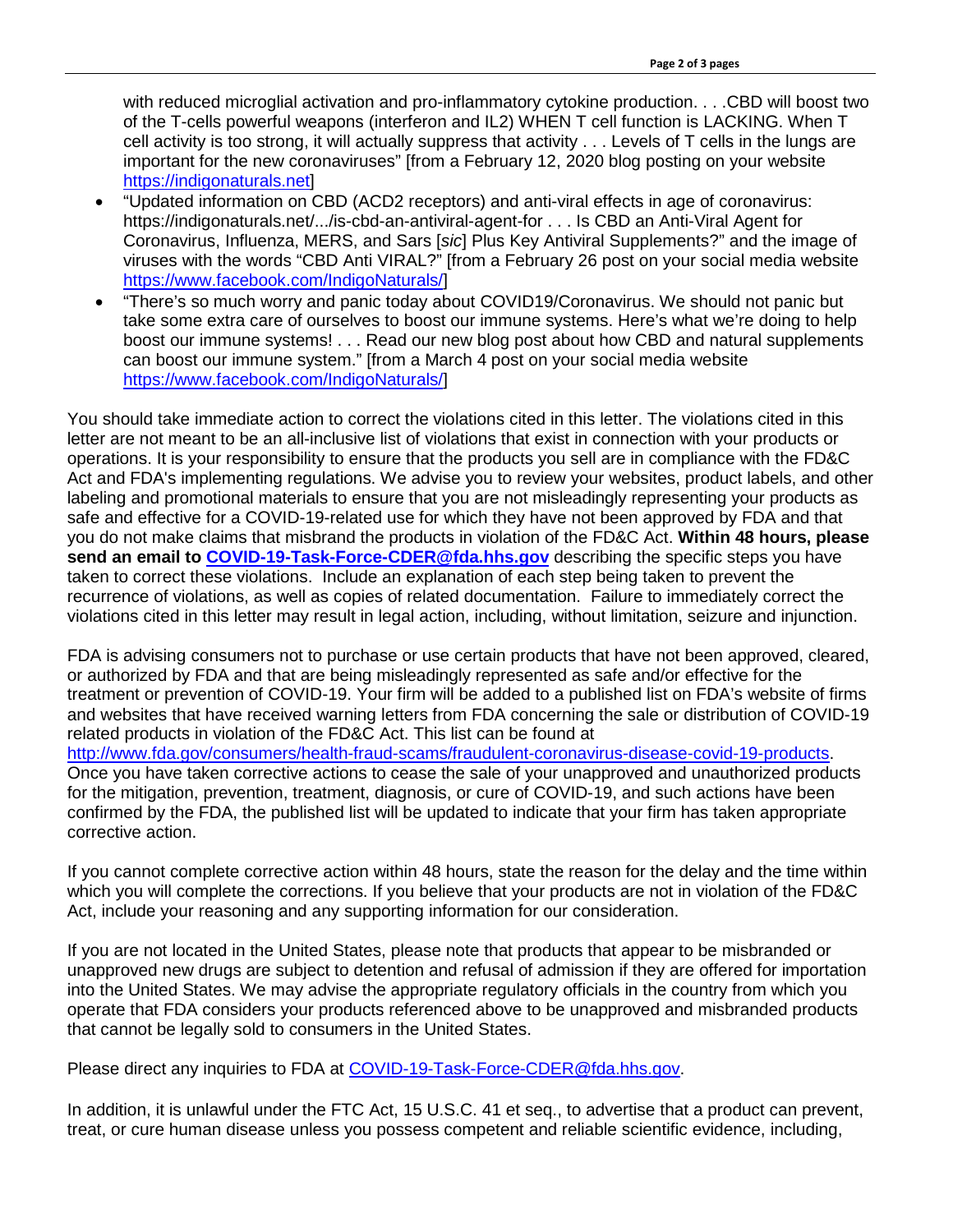with reduced microglial activation and pro-inflammatory cytokine production. . . . CBD will boost two of the T-cells powerful weapons (interferon and IL2) WHEN T cell function is LACKING. When T cell activity is too strong, it will actually suppress that activity . . . Levels of T cells in the lungs are important for the new coronaviruses" [from a February 12, 2020 blog posting on your website [https://indigonaturals.net\]](https://indigonaturals.net/)

- "Updated information on CBD (ACD2 receptors) and anti-viral effects in age of coronavirus: https://indigonaturals.net/.../is-cbd-an-antiviral-agent-for . . . Is CBD an Anti-Viral Agent for Coronavirus, Influenza, MERS, and Sars [*sic*] Plus Key Antiviral Supplements?" and the image of viruses with the words "CBD Anti VIRAL?" [from a February 26 post on your social media website [https://www.facebook.com/IndigoNaturals/\]](https://www.facebook.com/IndigoNaturals/)
- "There's so much worry and panic today about COVID19/Coronavirus. We should not panic but take some extra care of ourselves to boost our immune systems. Here's what we're doing to help boost our immune systems! . . . Read our new blog post about how CBD and natural supplements can boost our immune system." [from a March 4 post on your social media website [https://www.facebook.com/IndigoNaturals/\]](https://www.facebook.com/IndigoNaturals/)

You should take immediate action to correct the violations cited in this letter. The violations cited in this letter are not meant to be an all-inclusive list of violations that exist in connection with your products or operations. It is your responsibility to ensure that the products you sell are in compliance with the FD&C Act and FDA's implementing regulations. We advise you to review your websites, product labels, and other labeling and promotional materials to ensure that you are not misleadingly representing your products as safe and effective for a COVID-19-related use for which they have not been approved by FDA and that you do not make claims that misbrand the products in violation of the FD&C Act. **Within 48 hours, please send an email to [COVID-19-Task-Force-CDER@fda.hhs.gov](mailto:COVID-19-Task-Force-CDER@fda.hhs.gov)** describing the specific steps you have taken to correct these violations. Include an explanation of each step being taken to prevent the recurrence of violations, as well as copies of related documentation. Failure to immediately correct the violations cited in this letter may result in legal action, including, without limitation, seizure and injunction.

FDA is advising consumers not to purchase or use certain products that have not been approved, cleared, or authorized by FDA and that are being misleadingly represented as safe and/or effective for the treatment or prevention of COVID-19. Your firm will be added to a published list on FDA's website of firms and websites that have received warning letters from FDA concerning the sale or distribution of COVID-19 related products in violation of the FD&C Act. This list can be found at [http://www.fda.gov/consumers/health-fraud-scams/fraudulent-coronavirus-disease-covid-19-products.](http://www.fda.gov/consumers/health-fraud-scams/fraudulent-coronavirus-disease-covid-19-products) Once you have taken corrective actions to cease the sale of your unapproved and unauthorized products for the mitigation, prevention, treatment, diagnosis, or cure of COVID-19, and such actions have been confirmed by the FDA, the published list will be updated to indicate that your firm has taken appropriate corrective action.

If you cannot complete corrective action within 48 hours, state the reason for the delay and the time within which you will complete the corrections. If you believe that your products are not in violation of the FD&C Act, include your reasoning and any supporting information for our consideration.

If you are not located in the United States, please note that products that appear to be misbranded or unapproved new drugs are subject to detention and refusal of admission if they are offered for importation into the United States. We may advise the appropriate regulatory officials in the country from which you operate that FDA considers your products referenced above to be unapproved and misbranded products that cannot be legally sold to consumers in the United States.

Please direct any inquiries to FDA at [COVID-19-Task-Force-CDER@fda.hhs.gov.](mailto:COVID-19-Task-Force-CDER@fda.hhs.gov)

In addition, it is unlawful under the FTC Act, 15 U.S.C. 41 et seq., to advertise that a product can prevent, treat, or cure human disease unless you possess competent and reliable scientific evidence, including,